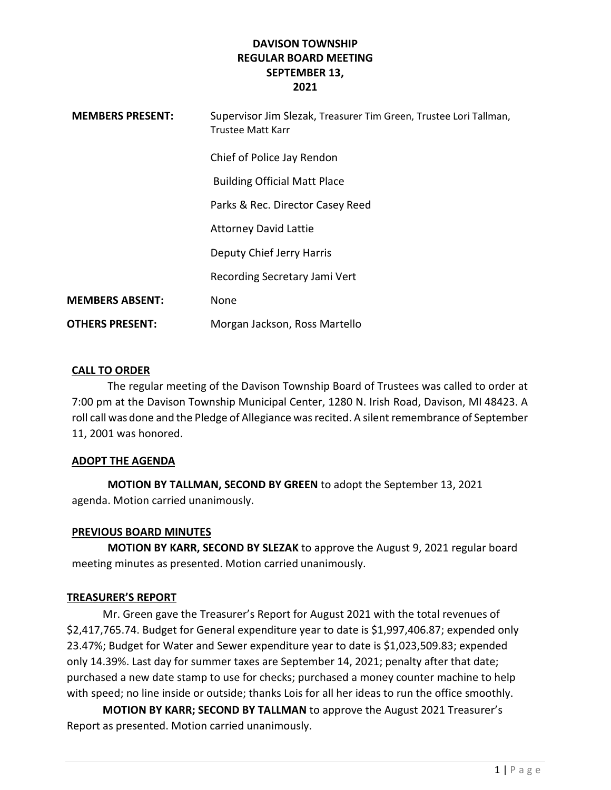| <b>MEMBERS PRESENT:</b> | Supervisor Jim Slezak, Treasurer Tim Green, Trustee Lori Tallman,<br>Trustee Matt Karr |
|-------------------------|----------------------------------------------------------------------------------------|
|                         | Chief of Police Jay Rendon                                                             |
|                         | <b>Building Official Matt Place</b>                                                    |
|                         | Parks & Rec. Director Casey Reed                                                       |
|                         | <b>Attorney David Lattie</b>                                                           |
|                         | Deputy Chief Jerry Harris                                                              |
|                         | Recording Secretary Jami Vert                                                          |
| <b>MEMBERS ABSENT:</b>  | None                                                                                   |
| <b>OTHERS PRESENT:</b>  | Morgan Jackson, Ross Martello                                                          |

# CALL TO ORDER

The regular meeting of the Davison Township Board of Trustees was called to order at 7:00 pm at the Davison Township Municipal Center, 1280 N. Irish Road, Davison, MI 48423. A roll call was done and the Pledge of Allegiance was recited. A silent remembrance of September 11, 2001 was honored.

# ADOPT THE AGENDA

MOTION BY TALLMAN, SECOND BY GREEN to adopt the September 13, 2021 agenda. Motion carried unanimously.

# PREVIOUS BOARD MINUTES

MOTION BY KARR, SECOND BY SLEZAK to approve the August 9, 2021 regular board meeting minutes as presented. Motion carried unanimously.

# TREASURER'S REPORT

 Mr. Green gave the Treasurer's Report for August 2021 with the total revenues of \$2,417,765.74. Budget for General expenditure year to date is \$1,997,406.87; expended only 23.47%; Budget for Water and Sewer expenditure year to date is \$1,023,509.83; expended only 14.39%. Last day for summer taxes are September 14, 2021; penalty after that date; purchased a new date stamp to use for checks; purchased a money counter machine to help with speed; no line inside or outside; thanks Lois for all her ideas to run the office smoothly.

MOTION BY KARR; SECOND BY TALLMAN to approve the August 2021 Treasurer's Report as presented. Motion carried unanimously.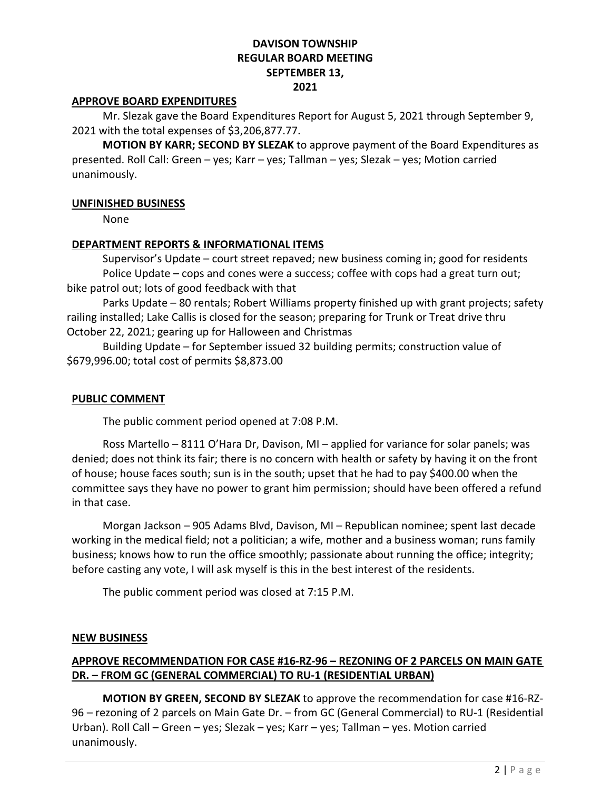## APPROVE BOARD EXPENDITURES

 Mr. Slezak gave the Board Expenditures Report for August 5, 2021 through September 9, 2021 with the total expenses of \$3,206,877.77.

MOTION BY KARR; SECOND BY SLEZAK to approve payment of the Board Expenditures as presented. Roll Call: Green – yes; Karr – yes; Tallman – yes; Slezak – yes; Motion carried unanimously.

## UNFINISHED BUSINESS

None

## DEPARTMENT REPORTS & INFORMATIONAL ITEMS

 Supervisor's Update – court street repaved; new business coming in; good for residents Police Update – cops and cones were a success; coffee with cops had a great turn out; bike patrol out; lots of good feedback with that

 Parks Update – 80 rentals; Robert Williams property finished up with grant projects; safety railing installed; Lake Callis is closed for the season; preparing for Trunk or Treat drive thru October 22, 2021; gearing up for Halloween and Christmas

 Building Update – for September issued 32 building permits; construction value of \$679,996.00; total cost of permits \$8,873.00

## PUBLIC COMMENT

The public comment period opened at 7:08 P.M.

 Ross Martello – 8111 O'Hara Dr, Davison, MI – applied for variance for solar panels; was denied; does not think its fair; there is no concern with health or safety by having it on the front of house; house faces south; sun is in the south; upset that he had to pay \$400.00 when the committee says they have no power to grant him permission; should have been offered a refund in that case.

 Morgan Jackson – 905 Adams Blvd, Davison, MI – Republican nominee; spent last decade working in the medical field; not a politician; a wife, mother and a business woman; runs family business; knows how to run the office smoothly; passionate about running the office; integrity; before casting any vote, I will ask myself is this in the best interest of the residents.

The public comment period was closed at 7:15 P.M.

### NEW BUSINESS

# APPROVE RECOMMENDATION FOR CASE #16-RZ-96 – REZONING OF 2 PARCELS ON MAIN GATE DR. – FROM GC (GENERAL COMMERCIAL) TO RU-1 (RESIDENTIAL URBAN)

 MOTION BY GREEN, SECOND BY SLEZAK to approve the recommendation for case #16-RZ-96 – rezoning of 2 parcels on Main Gate Dr. – from GC (General Commercial) to RU-1 (Residential Urban). Roll Call – Green – yes; Slezak – yes; Karr – yes; Tallman – yes. Motion carried unanimously.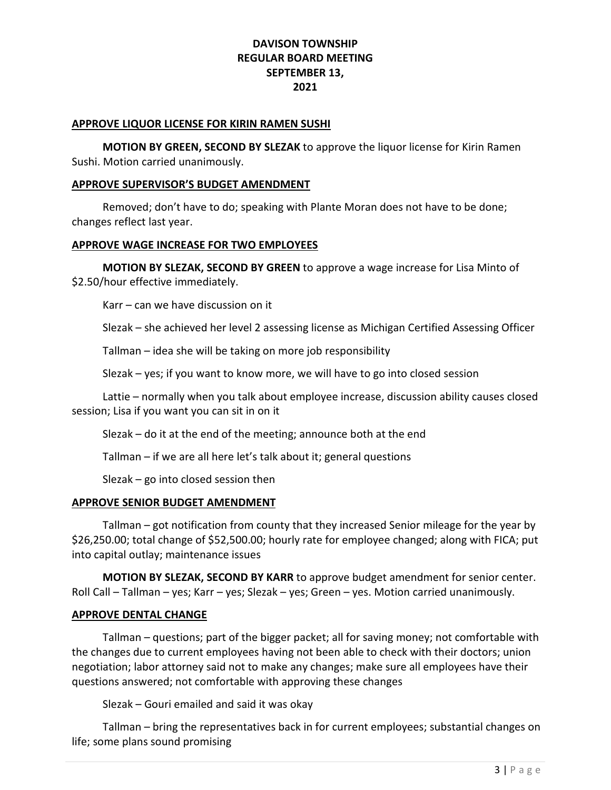### APPROVE LIQUOR LICENSE FOR KIRIN RAMEN SUSHI

MOTION BY GREEN, SECOND BY SLEZAK to approve the liquor license for Kirin Ramen Sushi. Motion carried unanimously.

## APPROVE SUPERVISOR'S BUDGET AMENDMENT

 Removed; don't have to do; speaking with Plante Moran does not have to be done; changes reflect last year.

# APPROVE WAGE INCREASE FOR TWO EMPLOYEES

 MOTION BY SLEZAK, SECOND BY GREEN to approve a wage increase for Lisa Minto of \$2.50/hour effective immediately.

Karr – can we have discussion on it

Slezak – she achieved her level 2 assessing license as Michigan Certified Assessing Officer

Tallman – idea she will be taking on more job responsibility

Slezak – yes; if you want to know more, we will have to go into closed session

 Lattie – normally when you talk about employee increase, discussion ability causes closed session; Lisa if you want you can sit in on it

Slezak – do it at the end of the meeting; announce both at the end

Tallman – if we are all here let's talk about it; general questions

Slezak – go into closed session then

# APPROVE SENIOR BUDGET AMENDMENT

 Tallman – got notification from county that they increased Senior mileage for the year by \$26,250.00; total change of \$52,500.00; hourly rate for employee changed; along with FICA; put into capital outlay; maintenance issues

MOTION BY SLEZAK, SECOND BY KARR to approve budget amendment for senior center. Roll Call – Tallman – yes; Karr – yes; Slezak – yes; Green – yes. Motion carried unanimously.

# APPROVE DENTAL CHANGE

 Tallman – questions; part of the bigger packet; all for saving money; not comfortable with the changes due to current employees having not been able to check with their doctors; union negotiation; labor attorney said not to make any changes; make sure all employees have their questions answered; not comfortable with approving these changes

Slezak – Gouri emailed and said it was okay

 Tallman – bring the representatives back in for current employees; substantial changes on life; some plans sound promising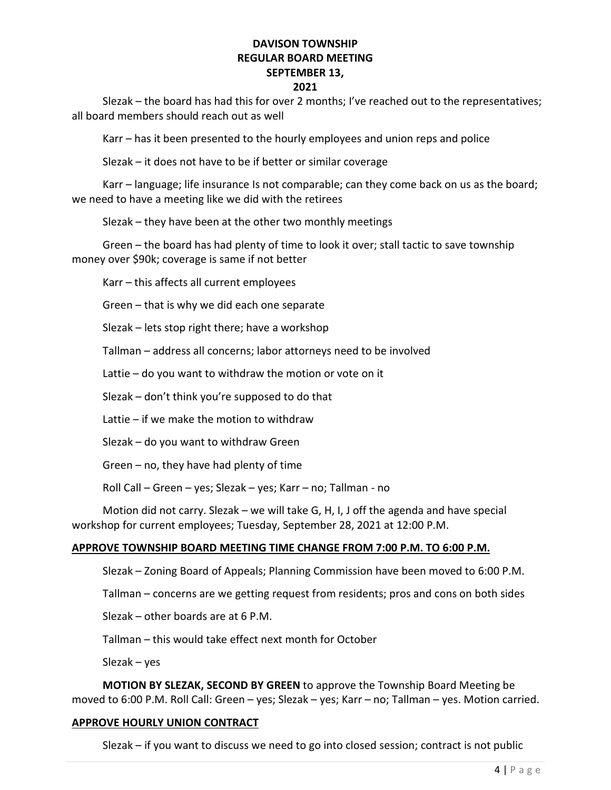### 2021

 Slezak – the board has had this for over 2 months; I've reached out to the representatives; all board members should reach out as well

Karr – has it been presented to the hourly employees and union reps and police

Slezak – it does not have to be if better or similar coverage

 Karr – language; life insurance Is not comparable; can they come back on us as the board; we need to have a meeting like we did with the retirees

Slezak – they have been at the other two monthly meetings

 Green – the board has had plenty of time to look it over; stall tactic to save township money over \$90k; coverage is same if not better

Karr – this affects all current employees

Green – that is why we did each one separate

Slezak – lets stop right there; have a workshop

Tallman – address all concerns; labor attorneys need to be involved

Lattie – do you want to withdraw the motion or vote on it

Slezak – don't think you're supposed to do that

Lattie – if we make the motion to withdraw

Slezak – do you want to withdraw Green

Green – no, they have had plenty of time

Roll Call – Green – yes; Slezak – yes; Karr – no; Tallman - no

 Motion did not carry. Slezak – we will take G, H, I, J off the agenda and have special workshop for current employees; Tuesday, September 28, 2021 at 12:00 P.M.

### APPROVE TOWNSHIP BOARD MEETING TIME CHANGE FROM 7:00 P.M. TO 6:00 P.M.

Slezak – Zoning Board of Appeals; Planning Commission have been moved to 6:00 P.M.

Tallman – concerns are we getting request from residents; pros and cons on both sides

Slezak – other boards are at 6 P.M.

Tallman – this would take effect next month for October

Slezak – yes

MOTION BY SLEZAK, SECOND BY GREEN to approve the Township Board Meeting be moved to 6:00 P.M. Roll Call: Green – yes; Slezak – yes; Karr – no; Tallman – yes. Motion carried.

### APPROVE HOURLY UNION CONTRACT

Slezak – if you want to discuss we need to go into closed session; contract is not public